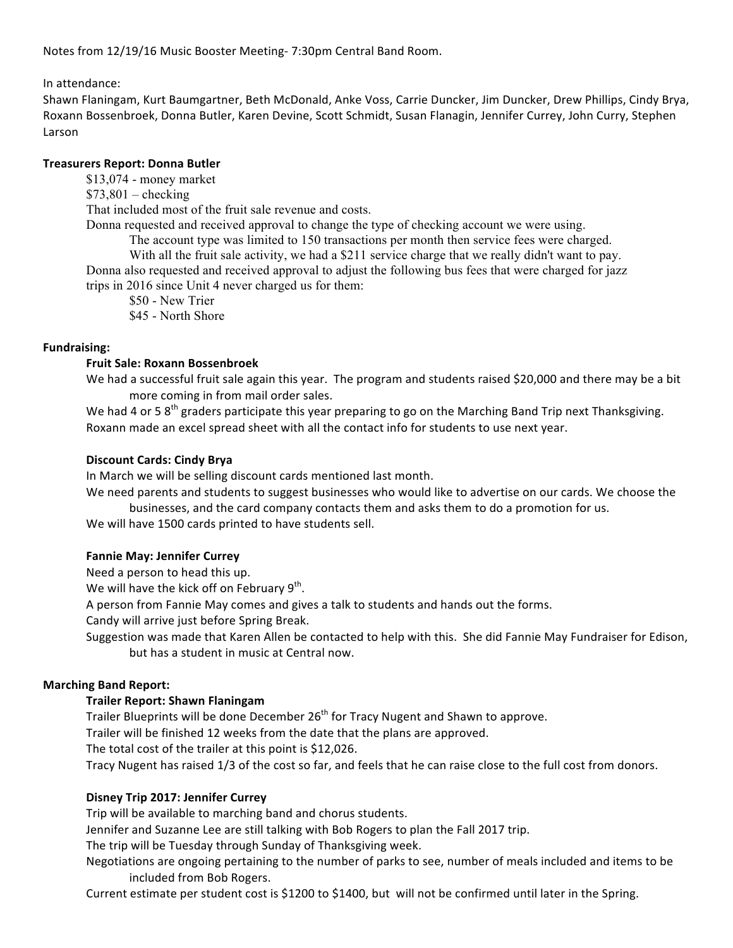Notes from 12/19/16 Music Booster Meeting- 7:30pm Central Band Room.

In attendance:

Shawn Flaningam, Kurt Baumgartner, Beth McDonald, Anke Voss, Carrie Duncker, Jim Duncker, Drew Phillips, Cindy Brya, Roxann Bossenbroek, Donna Butler, Karen Devine, Scott Schmidt, Susan Flanagin, Jennifer Currey, John Curry, Stephen Larson

### **Treasurers Report: Donna Butler**

\$13,074 - money market

 $$73,801$  – checking

That included most of the fruit sale revenue and costs.

Donna requested and received approval to change the type of checking account we were using.

The account type was limited to 150 transactions per month then service fees were charged.

With all the fruit sale activity, we had a \$211 service charge that we really didn't want to pay.

Donna also requested and received approval to adjust the following bus fees that were charged for jazz

trips in 2016 since Unit 4 never charged us for them:

\$50 - New Trier

\$45 - North Shore

# **Fundraising:**

# **Fruit Sale: Roxann Bossenbroek**

We had a successful fruit sale again this year. The program and students raised \$20,000 and there may be a bit more coming in from mail order sales.

We had 4 or 5 8<sup>th</sup> graders participate this year preparing to go on the Marching Band Trip next Thanksgiving. Roxann made an excel spread sheet with all the contact info for students to use next year.

### **Discount Cards: Cindy Brya**

In March we will be selling discount cards mentioned last month.

We need parents and students to suggest businesses who would like to advertise on our cards. We choose the businesses, and the card company contacts them and asks them to do a promotion for us.

We will have 1500 cards printed to have students sell.

# **Fannie May: Jennifer Currey**

Need a person to head this up.

We will have the kick off on February  $9^{th}$ .

A person from Fannie May comes and gives a talk to students and hands out the forms.

Candy will arrive just before Spring Break.

Suggestion was made that Karen Allen be contacted to help with this. She did Fannie May Fundraiser for Edison, but has a student in music at Central now.

# **Marching Band Report:**

# **Trailer Report: Shawn Flaningam**

Trailer Blueprints will be done December  $26<sup>th</sup>$  for Tracy Nugent and Shawn to approve.

Trailer will be finished 12 weeks from the date that the plans are approved.

The total cost of the trailer at this point is \$12,026.

Tracy Nugent has raised 1/3 of the cost so far, and feels that he can raise close to the full cost from donors.

# **Disney Trip 2017: Jennifer Currey**

Trip will be available to marching band and chorus students.

Jennifer and Suzanne Lee are still talking with Bob Rogers to plan the Fall 2017 trip.

The trip will be Tuesday through Sunday of Thanksgiving week.

Negotiations are ongoing pertaining to the number of parks to see, number of meals included and items to be included from Bob Rogers.

Current estimate per student cost is \$1200 to \$1400, but will not be confirmed until later in the Spring.